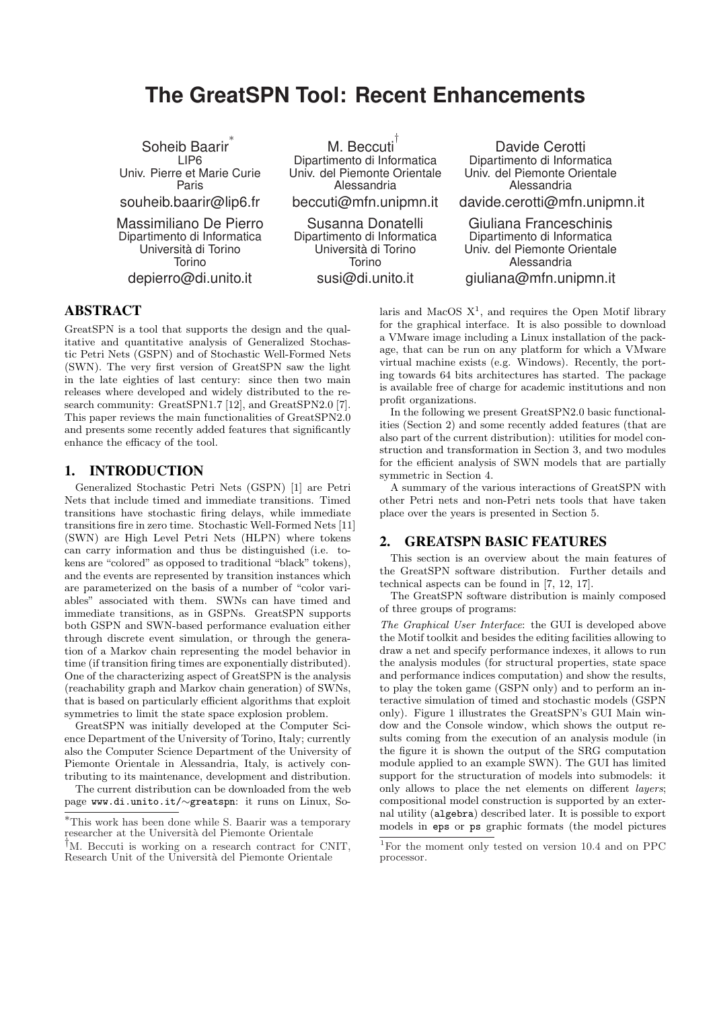# **The GreatSPN Tool: Recent Enhancements**

Soheib Baarir ∗ LIP6 Univ. Pierre et Marie Curie Paris souheib.baarir@lip6.fr

Massimiliano De Pierro Dipartimento di Informatica Universita di Torino ` Torino depierro@di.unito.it

M. Beccuti † Dipartimento di Informatica Univ. del Piemonte Orientale Alessandria beccuti@mfn.unipmn.it

Susanna Donatelli Dipartimento di Informatica Universita di Torino ` Torino susi@di.unito.it

Davide Cerotti Dipartimento di Informatica Univ. del Piemonte Orientale Alessandria

davide.cerotti@mfn.unipmn.it

Giuliana Franceschinis Dipartimento di Informatica Univ. del Piemonte Orientale Alessandria giuliana@mfn.unipmn.it

# ABSTRACT

GreatSPN is a tool that supports the design and the qualitative and quantitative analysis of Generalized Stochastic Petri Nets (GSPN) and of Stochastic Well-Formed Nets (SWN). The very first version of GreatSPN saw the light in the late eighties of last century: since then two main releases where developed and widely distributed to the research community: GreatSPN1.7 [12], and GreatSPN2.0 [7]. This paper reviews the main functionalities of GreatSPN2.0 and presents some recently added features that significantly enhance the efficacy of the tool.

#### 1. INTRODUCTION

Generalized Stochastic Petri Nets (GSPN) [1] are Petri Nets that include timed and immediate transitions. Timed transitions have stochastic firing delays, while immediate transitions fire in zero time. Stochastic Well-Formed Nets [11] (SWN) are High Level Petri Nets (HLPN) where tokens can carry information and thus be distinguished (i.e. tokens are "colored" as opposed to traditional "black" tokens), and the events are represented by transition instances which are parameterized on the basis of a number of "color variables" associated with them. SWNs can have timed and immediate transitions, as in GSPNs. GreatSPN supports both GSPN and SWN-based performance evaluation either through discrete event simulation, or through the generation of a Markov chain representing the model behavior in time (if transition firing times are exponentially distributed). One of the characterizing aspect of GreatSPN is the analysis (reachability graph and Markov chain generation) of SWNs, that is based on particularly efficient algorithms that exploit symmetries to limit the state space explosion problem.

GreatSPN was initially developed at the Computer Science Department of the University of Torino, Italy; currently also the Computer Science Department of the University of Piemonte Orientale in Alessandria, Italy, is actively contributing to its maintenance, development and distribution.

The current distribution can be downloaded from the web page www.di.unito.it/∼greatspn: it runs on Linux, So-

laris and MacOS  $X<sup>1</sup>$ , and requires the Open Motif library for the graphical interface. It is also possible to download a VMware image including a Linux installation of the package, that can be run on any platform for which a VMware virtual machine exists (e.g. Windows). Recently, the porting towards 64 bits architectures has started. The package is available free of charge for academic institutions and non profit organizations.

In the following we present GreatSPN2.0 basic functionalities (Section 2) and some recently added features (that are also part of the current distribution): utilities for model construction and transformation in Section 3, and two modules for the efficient analysis of SWN models that are partially symmetric in Section 4.

A summary of the various interactions of GreatSPN with other Petri nets and non-Petri nets tools that have taken place over the years is presented in Section 5.

## 2. GREATSPN BASIC FEATURES

This section is an overview about the main features of the GreatSPN software distribution. Further details and technical aspects can be found in [7, 12, 17].

The GreatSPN software distribution is mainly composed of three groups of programs:

The Graphical User Interface: the GUI is developed above the Motif toolkit and besides the editing facilities allowing to draw a net and specify performance indexes, it allows to run the analysis modules (for structural properties, state space and performance indices computation) and show the results, to play the token game (GSPN only) and to perform an interactive simulation of timed and stochastic models (GSPN only). Figure 1 illustrates the GreatSPN's GUI Main window and the Console window, which shows the output results coming from the execution of an analysis module (in the figure it is shown the output of the SRG computation module applied to an example SWN). The GUI has limited support for the structuration of models into submodels: it only allows to place the net elements on different layers; compositional model construction is supported by an external utility (algebra) described later. It is possible to export models in eps or ps graphic formats (the model pictures

<sup>∗</sup>This work has been done while S. Baarir was a temporary researcher at the Università del Piemonte Orientale

<sup>†</sup>M. Beccuti is working on a research contract for CNIT, Research Unit of the Università del Piemonte Orientale

<sup>1</sup>For the moment only tested on version 10.4 and on PPC processor.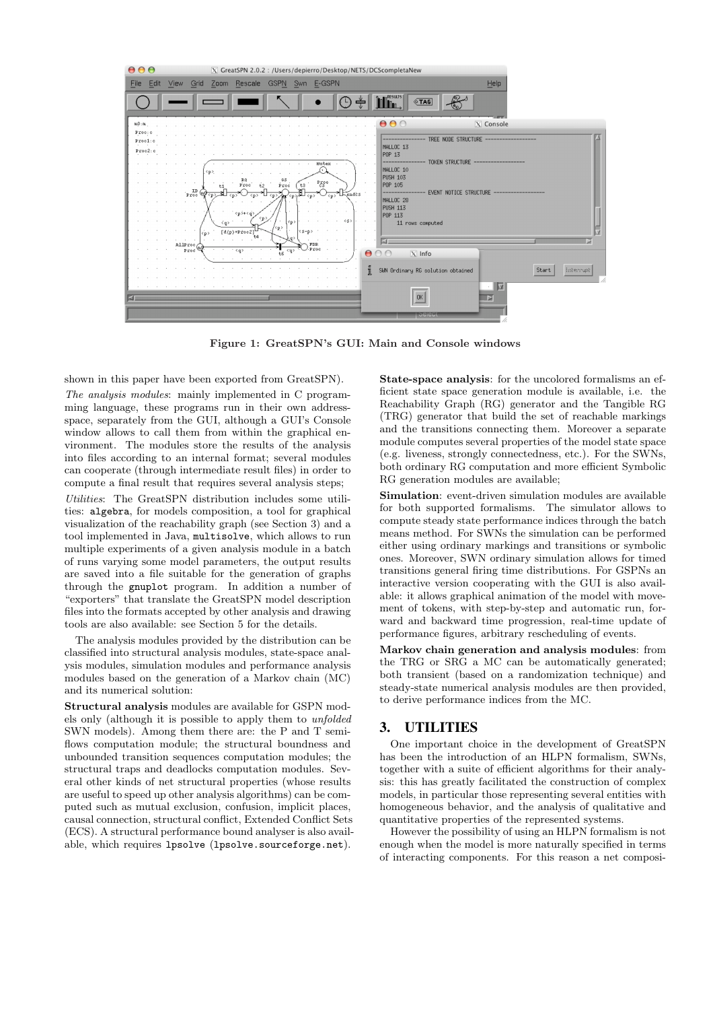

Figure 1: GreatSPN's GUI: Main and Console windows

shown in this paper have been exported from GreatSPN).

The analysis modules: mainly implemented in C programming language, these programs run in their own addressspace, separately from the GUI, although a GUI's Console window allows to call them from within the graphical environment. The modules store the results of the analysis into files according to an internal format; several modules can cooperate (through intermediate result files) in order to compute a final result that requires several analysis steps;

Utilities: The GreatSPN distribution includes some utilities: algebra, for models composition, a tool for graphical visualization of the reachability graph (see Section 3) and a tool implemented in Java, multisolve, which allows to run multiple experiments of a given analysis module in a batch of runs varying some model parameters, the output results are saved into a file suitable for the generation of graphs through the gnuplot program. In addition a number of "exporters" that translate the GreatSPN model description files into the formats accepted by other analysis and drawing tools are also available: see Section 5 for the details.

The analysis modules provided by the distribution can be classified into structural analysis modules, state-space analysis modules, simulation modules and performance analysis modules based on the generation of a Markov chain (MC) and its numerical solution:

Structural analysis modules are available for GSPN models only (although it is possible to apply them to unfolded SWN models). Among them there are: the P and T semiflows computation module; the structural boundness and unbounded transition sequences computation modules; the structural traps and deadlocks computation modules. Several other kinds of net structural properties (whose results are useful to speed up other analysis algorithms) can be computed such as mutual exclusion, confusion, implicit places, causal connection, structural conflict, Extended Conflict Sets (ECS). A structural performance bound analyser is also available, which requires lpsolve (lpsolve.sourceforge.net).

State-space analysis: for the uncolored formalisms an efficient state space generation module is available, i.e. the Reachability Graph (RG) generator and the Tangible RG (TRG) generator that build the set of reachable markings and the transitions connecting them. Moreover a separate module computes several properties of the model state space (e.g. liveness, strongly connectedness, etc.). For the SWNs, both ordinary RG computation and more efficient Symbolic RG generation modules are available;

Simulation: event-driven simulation modules are available for both supported formalisms. The simulator allows to compute steady state performance indices through the batch means method. For SWNs the simulation can be performed either using ordinary markings and transitions or symbolic ones. Moreover, SWN ordinary simulation allows for timed transitions general firing time distributions. For GSPNs an interactive version cooperating with the GUI is also available: it allows graphical animation of the model with movement of tokens, with step-by-step and automatic run, forward and backward time progression, real-time update of performance figures, arbitrary rescheduling of events.

Markov chain generation and analysis modules: from the TRG or SRG a MC can be automatically generated; both transient (based on a randomization technique) and steady-state numerical analysis modules are then provided, to derive performance indices from the MC.

#### 3. UTILITIES

One important choice in the development of GreatSPN has been the introduction of an HLPN formalism, SWNs, together with a suite of efficient algorithms for their analysis: this has greatly facilitated the construction of complex models, in particular those representing several entities with homogeneous behavior, and the analysis of qualitative and quantitative properties of the represented systems.

However the possibility of using an HLPN formalism is not enough when the model is more naturally specified in terms of interacting components. For this reason a net composi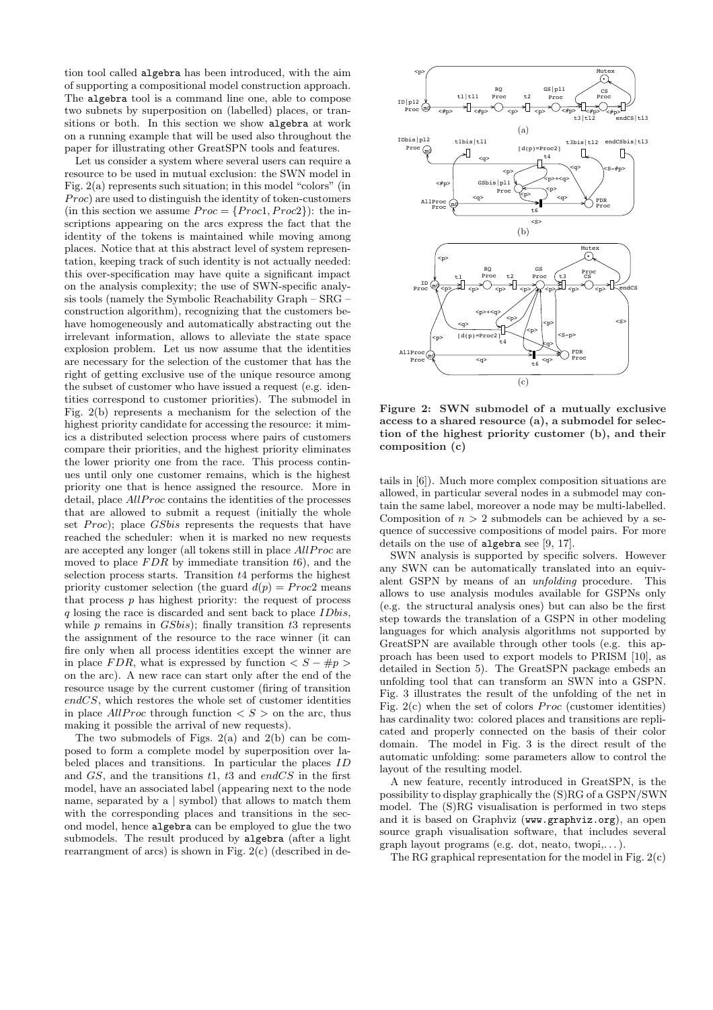tion tool called algebra has been introduced, with the aim of supporting a compositional model construction approach. The algebra tool is a command line one, able to compose two subnets by superposition on (labelled) places, or transitions or both. In this section we show algebra at work on a running example that will be used also throughout the paper for illustrating other GreatSPN tools and features.

Let us consider a system where several users can require a resource to be used in mutual exclusion: the SWN model in Fig. 2(a) represents such situation; in this model "colors" (in  $Proc)$  are used to distinguish the identity of token-customers (in this section we assume  $Proc = \{Proc1, Proc2\})$ : the inscriptions appearing on the arcs express the fact that the identity of the tokens is maintained while moving among places. Notice that at this abstract level of system representation, keeping track of such identity is not actually needed: this over-specification may have quite a significant impact on the analysis complexity; the use of SWN-specific analysis tools (namely the Symbolic Reachability Graph – SRG – construction algorithm), recognizing that the customers behave homogeneously and automatically abstracting out the irrelevant information, allows to alleviate the state space explosion problem. Let us now assume that the identities are necessary for the selection of the customer that has the right of getting exclusive use of the unique resource among the subset of customer who have issued a request (e.g. identities correspond to customer priorities). The submodel in Fig. 2(b) represents a mechanism for the selection of the highest priority candidate for accessing the resource: it mimics a distributed selection process where pairs of customers compare their priorities, and the highest priority eliminates the lower priority one from the race. This process continues until only one customer remains, which is the highest priority one that is hence assigned the resource. More in detail, place *AllProc* contains the identities of the processes that are allowed to submit a request (initially the whole set  $Proc)$ ; place  $GSbis$  represents the requests that have reached the scheduler: when it is marked no new requests are accepted any longer (all tokens still in place  $AllProc$  are moved to place  $FDR$  by immediate transition  $t6$ ), and the selection process starts. Transition  $t4$  performs the highest priority customer selection (the guard  $d(p) = Proc2$  means that process  $p$  has highest priority: the request of process  $q$  losing the race is discarded and sent back to place *IDbis*, while  $p$  remains in  $GSbis$ ; finally transition  $t3$  represents the assignment of the resource to the race winner (it can fire only when all process identities except the winner are in place FDR, what is expressed by function  $\langle S - \#p \rangle$ on the arc). A new race can start only after the end of the resource usage by the current customer (firing of transition endCS, which restores the whole set of customer identities in place AllProc through function  $\langle S \rangle$  on the arc, thus making it possible the arrival of new requests).

The two submodels of Figs.  $2(a)$  and  $2(b)$  can be composed to form a complete model by superposition over labeled places and transitions. In particular the places ID and  $GS$ , and the transitions  $t1$ ,  $t3$  and endCS in the first model, have an associated label (appearing next to the node name, separated by a | symbol) that allows to match them with the corresponding places and transitions in the second model, hence algebra can be employed to glue the two submodels. The result produced by algebra (after a light rearrangment of arcs) is shown in Fig. 2(c) (described in de-



Figure 2: SWN submodel of a mutually exclusive access to a shared resource (a), a submodel for selection of the highest priority customer (b), and their composition (c)

tails in [6]). Much more complex composition situations are allowed, in particular several nodes in a submodel may contain the same label, moreover a node may be multi-labelled. Composition of  $n > 2$  submodels can be achieved by a sequence of successive compositions of model pairs. For more details on the use of algebra see [9, 17].

SWN analysis is supported by specific solvers. However any SWN can be automatically translated into an equivalent GSPN by means of an unfolding procedure. This allows to use analysis modules available for GSPNs only (e.g. the structural analysis ones) but can also be the first step towards the translation of a GSPN in other modeling languages for which analysis algorithms not supported by GreatSPN are available through other tools (e.g. this approach has been used to export models to PRISM [10], as detailed in Section 5). The GreatSPN package embeds an unfolding tool that can transform an SWN into a GSPN. Fig. 3 illustrates the result of the unfolding of the net in Fig.  $2(c)$  when the set of colors *Proc* (customer identities) has cardinality two: colored places and transitions are replicated and properly connected on the basis of their color domain. The model in Fig. 3 is the direct result of the automatic unfolding: some parameters allow to control the layout of the resulting model.

A new feature, recently introduced in GreatSPN, is the possibility to display graphically the (S)RG of a GSPN/SWN model. The (S)RG visualisation is performed in two steps and it is based on Graphviz (www.graphviz.org), an open source graph visualisation software, that includes several graph layout programs (e.g. dot, neato, twopi,. . . ).

The RG graphical representation for the model in Fig. 2(c)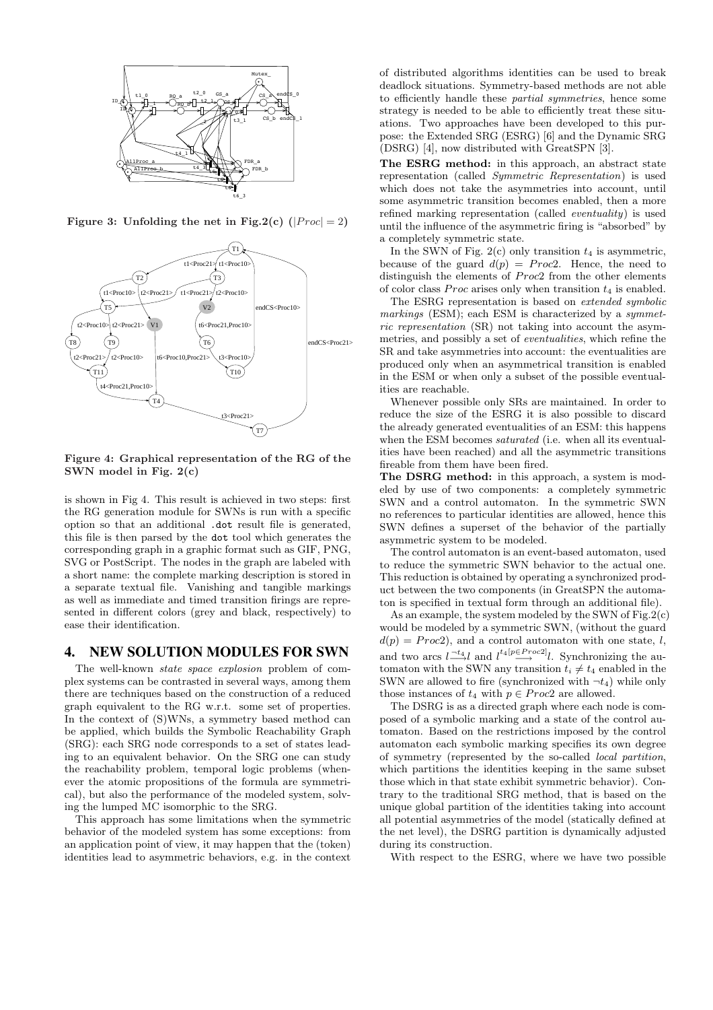

Figure 3: Unfolding the net in Fig.2(c)  $(|Proc| = 2)$ 



Figure 4: Graphical representation of the RG of the SWN model in Fig. 2(c)

is shown in Fig 4. This result is achieved in two steps: first the RG generation module for SWNs is run with a specific option so that an additional .dot result file is generated, this file is then parsed by the dot tool which generates the corresponding graph in a graphic format such as GIF, PNG, SVG or PostScript. The nodes in the graph are labeled with a short name: the complete marking description is stored in a separate textual file. Vanishing and tangible markings as well as immediate and timed transition firings are represented in different colors (grey and black, respectively) to ease their identification.

# 4. NEW SOLUTION MODULES FOR SWN

The well-known state space explosion problem of complex systems can be contrasted in several ways, among them there are techniques based on the construction of a reduced graph equivalent to the RG w.r.t. some set of properties. In the context of (S)WNs, a symmetry based method can be applied, which builds the Symbolic Reachability Graph (SRG): each SRG node corresponds to a set of states leading to an equivalent behavior. On the SRG one can study the reachability problem, temporal logic problems (whenever the atomic propositions of the formula are symmetrical), but also the performance of the modeled system, solving the lumped MC isomorphic to the SRG.

This approach has some limitations when the symmetric behavior of the modeled system has some exceptions: from an application point of view, it may happen that the (token) identities lead to asymmetric behaviors, e.g. in the context of distributed algorithms identities can be used to break deadlock situations. Symmetry-based methods are not able to efficiently handle these partial symmetries, hence some strategy is needed to be able to efficiently treat these situations. Two approaches have been developed to this purpose: the Extended SRG (ESRG) [6] and the Dynamic SRG (DSRG) [4], now distributed with GreatSPN [3].

The ESRG method: in this approach, an abstract state representation (called Symmetric Representation) is used which does not take the asymmetries into account, until some asymmetric transition becomes enabled, then a more refined marking representation (called eventuality) is used until the influence of the asymmetric firing is "absorbed" by a completely symmetric state.

In the SWN of Fig.  $2(c)$  only transition  $t_4$  is asymmetric, because of the guard  $d(p) = Proc2$ . Hence, the need to distinguish the elements of  $Proc2$  from the other elements of color class *Proc* arises only when transition  $t_4$  is enabled.

The ESRG representation is based on extended symbolic markings (ESM); each ESM is characterized by a symmetric representation (SR) not taking into account the asymmetries, and possibly a set of *eventualities*, which refine the SR and take asymmetries into account: the eventualities are produced only when an asymmetrical transition is enabled in the ESM or when only a subset of the possible eventualities are reachable.

Whenever possible only SRs are maintained. In order to reduce the size of the ESRG it is also possible to discard the already generated eventualities of an ESM: this happens when the ESM becomes *saturated* (i.e. when all its eventualities have been reached) and all the asymmetric transitions fireable from them have been fired.

The DSRG method: in this approach, a system is modeled by use of two components: a completely symmetric SWN and a control automaton. In the symmetric SWN no references to particular identities are allowed, hence this SWN defines a superset of the behavior of the partially asymmetric system to be modeled.

The control automaton is an event-based automaton, used to reduce the symmetric SWN behavior to the actual one. This reduction is obtained by operating a synchronized product between the two components (in GreatSPN the automaton is specified in textual form through an additional file).

As an example, the system modeled by the SWN of Fig.2 $(c)$ would be modeled by a symmetric SWN, (without the guard  $d(p) = Proc2$ , and a control automaton with one state, l, and two arcs  $l \stackrel{-t_4}{\longrightarrow} l$  and  $l^{t_4[p \in Proc2]}l$ . Synchronizing the automaton with the SWN any transition  $t_i \neq t_4$  enabled in the SWN are allowed to fire (synchronized with  $\neg t_4$ ) while only those instances of  $t_4$  with  $p \in Proc2$  are allowed.

The DSRG is as a directed graph where each node is composed of a symbolic marking and a state of the control automaton. Based on the restrictions imposed by the control automaton each symbolic marking specifies its own degree of symmetry (represented by the so-called local partition, which partitions the identities keeping in the same subset those which in that state exhibit symmetric behavior). Contrary to the traditional SRG method, that is based on the unique global partition of the identities taking into account all potential asymmetries of the model (statically defined at the net level), the DSRG partition is dynamically adjusted during its construction.

With respect to the ESRG, where we have two possible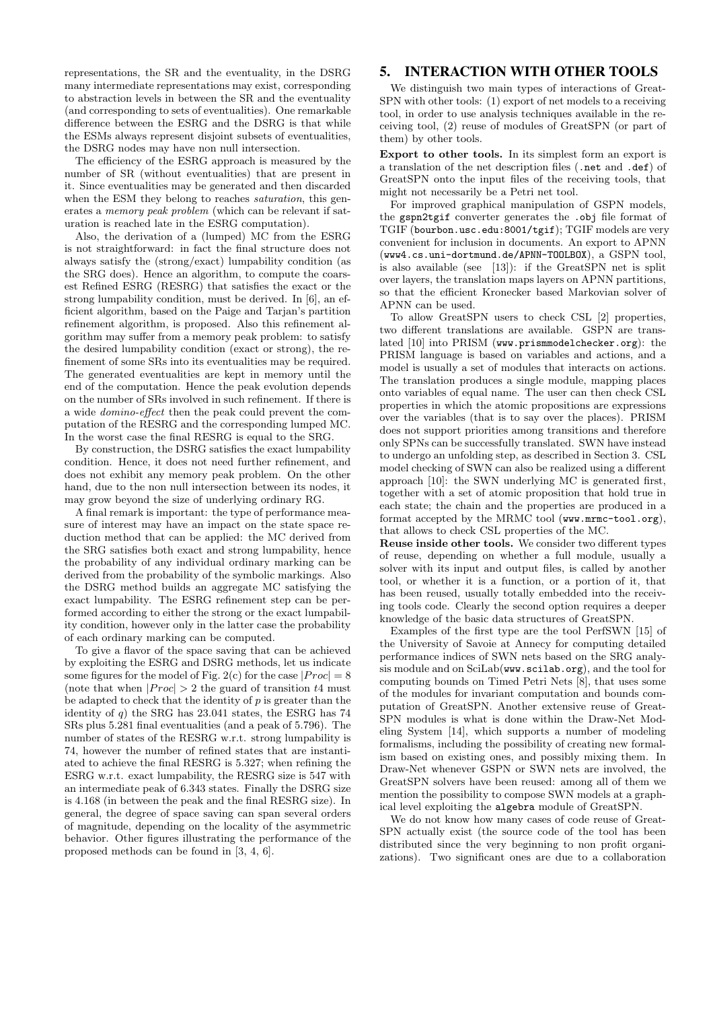representations, the SR and the eventuality, in the DSRG many intermediate representations may exist, corresponding to abstraction levels in between the SR and the eventuality (and corresponding to sets of eventualities). One remarkable difference between the ESRG and the DSRG is that while the ESMs always represent disjoint subsets of eventualities, the DSRG nodes may have non null intersection.

The efficiency of the ESRG approach is measured by the number of SR (without eventualities) that are present in it. Since eventualities may be generated and then discarded when the ESM they belong to reaches *saturation*, this generates a memory peak problem (which can be relevant if saturation is reached late in the ESRG computation).

Also, the derivation of a (lumped) MC from the ESRG is not straightforward: in fact the final structure does not always satisfy the (strong/exact) lumpability condition (as the SRG does). Hence an algorithm, to compute the coarsest Refined ESRG (RESRG) that satisfies the exact or the strong lumpability condition, must be derived. In [6], an efficient algorithm, based on the Paige and Tarjan's partition refinement algorithm, is proposed. Also this refinement algorithm may suffer from a memory peak problem: to satisfy the desired lumpability condition (exact or strong), the refinement of some SRs into its eventualities may be required. The generated eventualities are kept in memory until the end of the computation. Hence the peak evolution depends on the number of SRs involved in such refinement. If there is a wide domino-effect then the peak could prevent the computation of the RESRG and the corresponding lumped MC. In the worst case the final RESRG is equal to the SRG.

By construction, the DSRG satisfies the exact lumpability condition. Hence, it does not need further refinement, and does not exhibit any memory peak problem. On the other hand, due to the non null intersection between its nodes, it may grow beyond the size of underlying ordinary RG.

A final remark is important: the type of performance measure of interest may have an impact on the state space reduction method that can be applied: the MC derived from the SRG satisfies both exact and strong lumpability, hence the probability of any individual ordinary marking can be derived from the probability of the symbolic markings. Also the DSRG method builds an aggregate MC satisfying the exact lumpability. The ESRG refinement step can be performed according to either the strong or the exact lumpability condition, however only in the latter case the probability of each ordinary marking can be computed.

To give a flavor of the space saving that can be achieved by exploiting the ESRG and DSRG methods, let us indicate some figures for the model of Fig. 2(c) for the case  $|Proc| = 8$ (note that when  $|Proc| > 2$  the guard of transition t4 must be adapted to check that the identity of  $p$  is greater than the identity of  $q$ ) the SRG has 23.041 states, the ESRG has 74 SRs plus 5.281 final eventualities (and a peak of 5.796). The number of states of the RESRG w.r.t. strong lumpability is 74, however the number of refined states that are instantiated to achieve the final RESRG is 5.327; when refining the ESRG w.r.t. exact lumpability, the RESRG size is 547 with an intermediate peak of 6.343 states. Finally the DSRG size is 4.168 (in between the peak and the final RESRG size). In general, the degree of space saving can span several orders of magnitude, depending on the locality of the asymmetric behavior. Other figures illustrating the performance of the proposed methods can be found in [3, 4, 6].

# 5. INTERACTION WITH OTHER TOOLS

We distinguish two main types of interactions of Great-SPN with other tools: (1) export of net models to a receiving tool, in order to use analysis techniques available in the receiving tool, (2) reuse of modules of GreatSPN (or part of them) by other tools.

Export to other tools. In its simplest form an export is a translation of the net description files (.net and .def) of GreatSPN onto the input files of the receiving tools, that might not necessarily be a Petri net tool.

For improved graphical manipulation of GSPN models, the gspn2tgif converter generates the .obj file format of TGIF (bourbon.usc.edu:8001/tgif); TGIF models are very convenient for inclusion in documents. An export to APNN (www4.cs.uni-dortmund.de/APNN-TOOLBOX), a GSPN tool, is also available (see [13]): if the GreatSPN net is split over layers, the translation maps layers on APNN partitions, so that the efficient Kronecker based Markovian solver of APNN can be used.

To allow GreatSPN users to check CSL [2] properties, two different translations are available. GSPN are translated [10] into PRISM (www.prismmodelchecker.org): the PRISM language is based on variables and actions, and a model is usually a set of modules that interacts on actions. The translation produces a single module, mapping places onto variables of equal name. The user can then check CSL properties in which the atomic propositions are expressions over the variables (that is to say over the places). PRISM does not support priorities among transitions and therefore only SPNs can be successfully translated. SWN have instead to undergo an unfolding step, as described in Section 3. CSL model checking of SWN can also be realized using a different approach [10]: the SWN underlying MC is generated first, together with a set of atomic proposition that hold true in each state; the chain and the properties are produced in a format accepted by the MRMC tool (www.mrmc-tool.org), that allows to check CSL properties of the MC.

Reuse inside other tools. We consider two different types of reuse, depending on whether a full module, usually a solver with its input and output files, is called by another tool, or whether it is a function, or a portion of it, that has been reused, usually totally embedded into the receiving tools code. Clearly the second option requires a deeper knowledge of the basic data structures of GreatSPN.

Examples of the first type are the tool PerfSWN [15] of the University of Savoie at Annecy for computing detailed performance indices of SWN nets based on the SRG analysis module and on SciLab(www.scilab.org), and the tool for computing bounds on Timed Petri Nets [8], that uses some of the modules for invariant computation and bounds computation of GreatSPN. Another extensive reuse of Great-SPN modules is what is done within the Draw-Net Modeling System [14], which supports a number of modeling formalisms, including the possibility of creating new formalism based on existing ones, and possibly mixing them. In Draw-Net whenever GSPN or SWN nets are involved, the GreatSPN solvers have been reused: among all of them we mention the possibility to compose SWN models at a graphical level exploiting the algebra module of GreatSPN.

We do not know how many cases of code reuse of Great-SPN actually exist (the source code of the tool has been distributed since the very beginning to non profit organizations). Two significant ones are due to a collaboration